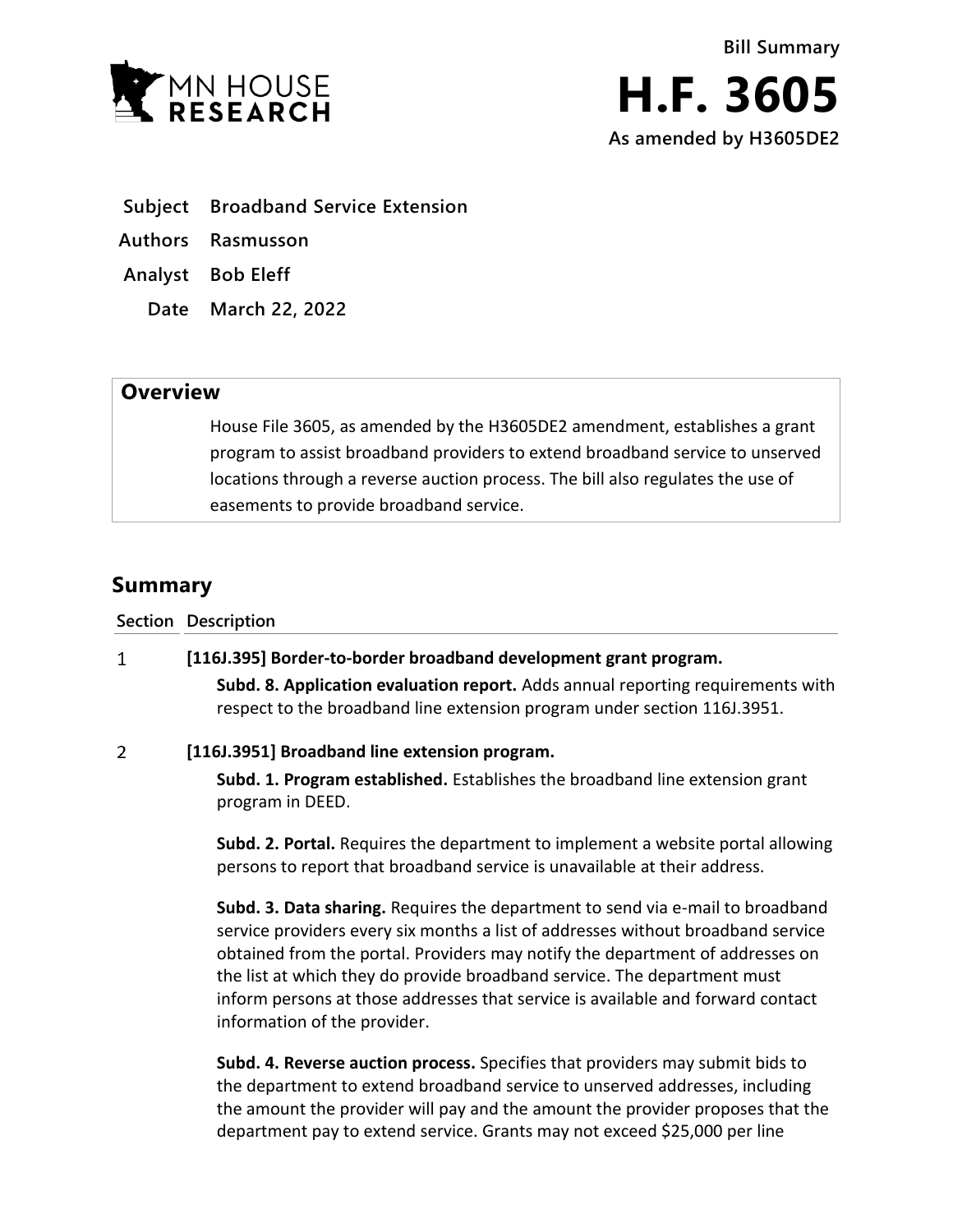

- **Subject Broadband Service Extension**
- **Authors Rasmusson**
- **Analyst Bob Eleff**
	- **Date March 22, 2022**

## **Overview**

House File 3605, as amended by the H3605DE2 amendment, establishes a grant program to assist broadband providers to extend broadband service to unserved locations through a reverse auction process. The bill also regulates the use of easements to provide broadband service.

# **Summary**

| <b>Section Description</b>                                       |
|------------------------------------------------------------------|
| [116J.395] Border-to-border broadband development grant program. |

**Subd. 8. Application evaluation report.** Adds annual reporting requirements with respect to the broadband line extension program under section 116J.3951.

### $\overline{2}$ **[116J.3951] Broadband line extension program.**

**Subd. 1. Program established.** Establishes the broadband line extension grant program in DEED.

**Subd. 2. Portal.** Requires the department to implement a website portal allowing persons to report that broadband service is unavailable at their address.

**Subd. 3. Data sharing.** Requires the department to send via e-mail to broadband service providers every six months a list of addresses without broadband service obtained from the portal. Providers may notify the department of addresses on the list at which they do provide broadband service. The department must inform persons at those addresses that service is available and forward contact information of the provider.

**Subd. 4. Reverse auction process.** Specifies that providers may submit bids to the department to extend broadband service to unserved addresses, including the amount the provider will pay and the amount the provider proposes that the department pay to extend service. Grants may not exceed \$25,000 per line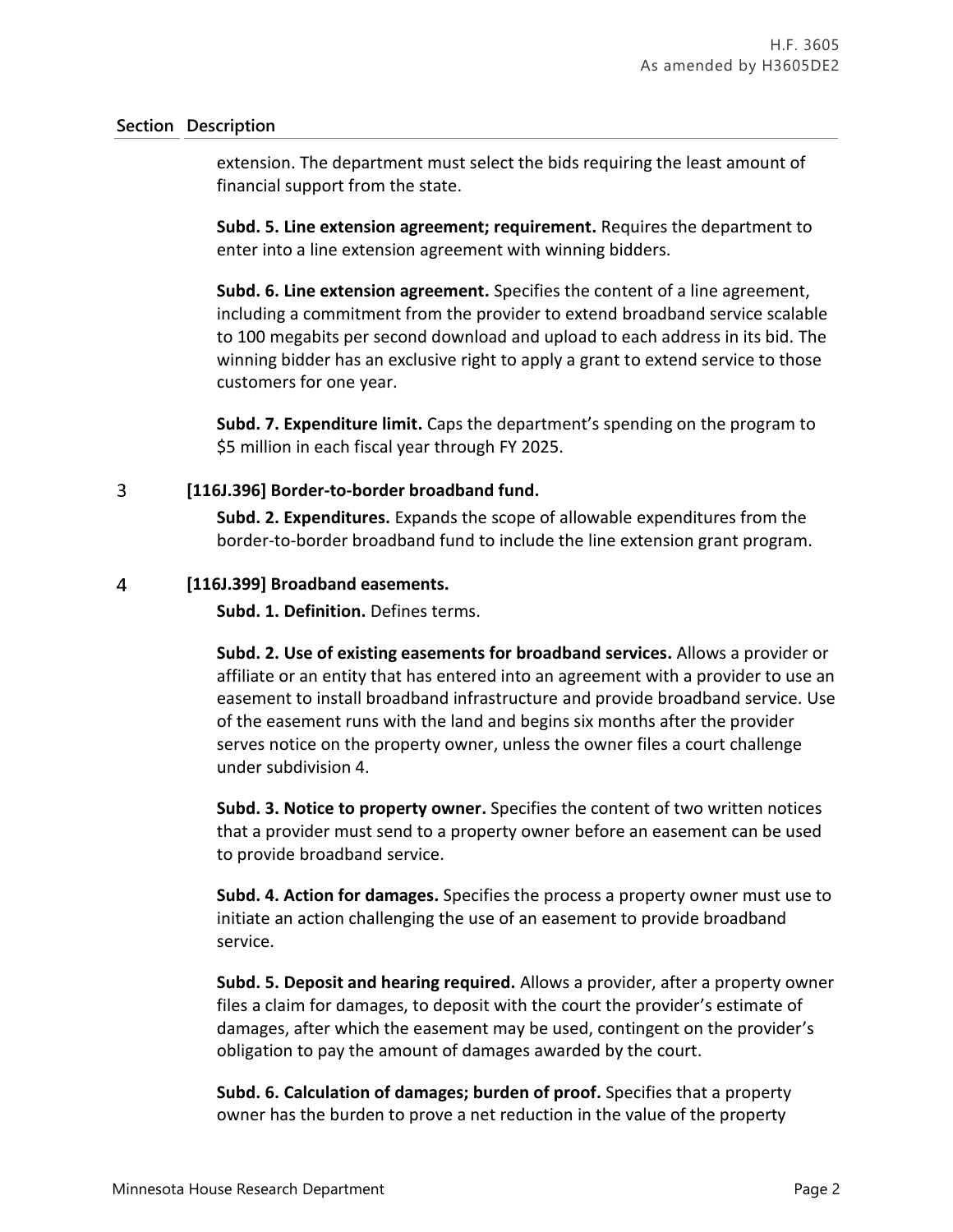### **Section Description**

extension. The department must select the bids requiring the least amount of financial support from the state.

**Subd. 5. Line extension agreement; requirement.** Requires the department to enter into a line extension agreement with winning bidders.

**Subd. 6. Line extension agreement.** Specifies the content of a line agreement, including a commitment from the provider to extend broadband service scalable to 100 megabits per second download and upload to each address in its bid. The winning bidder has an exclusive right to apply a grant to extend service to those customers for one year.

**Subd. 7. Expenditure limit.** Caps the department's spending on the program to \$5 million in each fiscal year through FY 2025.

#### $\overline{3}$ **[116J.396] Border-to-border broadband fund.**

**Subd. 2. Expenditures.** Expands the scope of allowable expenditures from the border-to-border broadband fund to include the line extension grant program.

#### $\overline{4}$ **[116J.399] Broadband easements.**

**Subd. 1. Definition.** Defines terms.

**Subd. 2. Use of existing easements for broadband services.** Allows a provider or affiliate or an entity that has entered into an agreement with a provider to use an easement to install broadband infrastructure and provide broadband service. Use of the easement runs with the land and begins six months after the provider serves notice on the property owner, unless the owner files a court challenge under subdivision 4.

**Subd. 3. Notice to property owner.** Specifies the content of two written notices that a provider must send to a property owner before an easement can be used to provide broadband service.

**Subd. 4. Action for damages.** Specifies the process a property owner must use to initiate an action challenging the use of an easement to provide broadband service.

**Subd. 5. Deposit and hearing required.** Allows a provider, after a property owner files a claim for damages, to deposit with the court the provider's estimate of damages, after which the easement may be used, contingent on the provider's obligation to pay the amount of damages awarded by the court.

**Subd. 6. Calculation of damages; burden of proof.** Specifies that a property owner has the burden to prove a net reduction in the value of the property